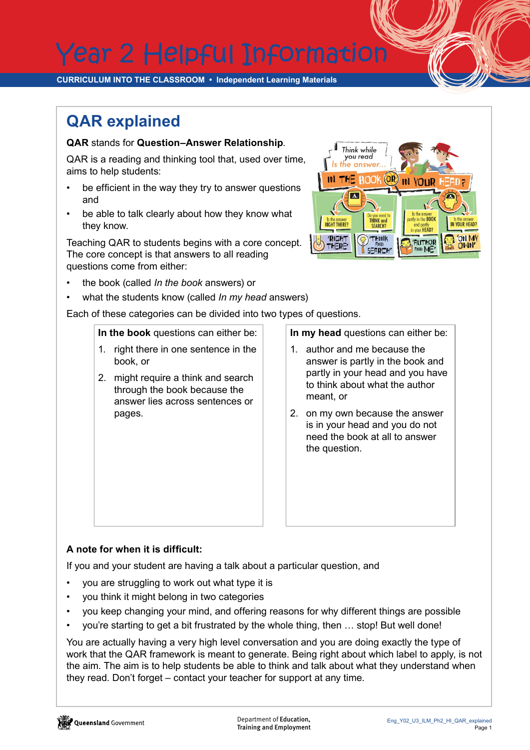Year 2 Helpful Information

**CURRICULUM INTO THE CLASSROOM • Independent Learning Materials**

## **QAR explained**

## **QAR** stands for **Question–Answer Relationship**.

QAR is a reading and thinking tool that, used over time, aims to help students:

- be efficient in the way they try to answer questions and
- be able to talk clearly about how they know what they know.

Teaching QAR to students begins with a core concept. The core concept is that answers to all reading questions come from either:

- the book (called *In the book* answers) or
- what the students know (called *In my head* answers)

Each of these categories can be divided into two types of questions.

**In the book** questions can either be:

- 1. right there in one sentence in the book, or
- 2. might require a think and search through the book because the answer lies across sentences or pages.

**In my head** questions can either be:

- 1. author and me because the answer is partly in the book and partly in your head and you have to think about what the author meant, or
- 2. on my own because the answer is in your head and you do not need the book at all to answer the question.

## **A note for when it is difficult:**

If you and your student are having a talk about a particular question, and

- you are struggling to work out what type it is
- you think it might belong in two categories
- you keep changing your mind, and offering reasons for why different things are possible

I

• you're starting to get a bit frustrated by the whole thing, then … stop! But well done!

You are actually having a very high level conversation and you are doing exactly the type of work that the QAR framework is meant to generate. Being right about which label to apply, is not the aim. The aim is to help students be able to think and talk about what they understand when they read. Don't forget – contact your teacher for support at any time.